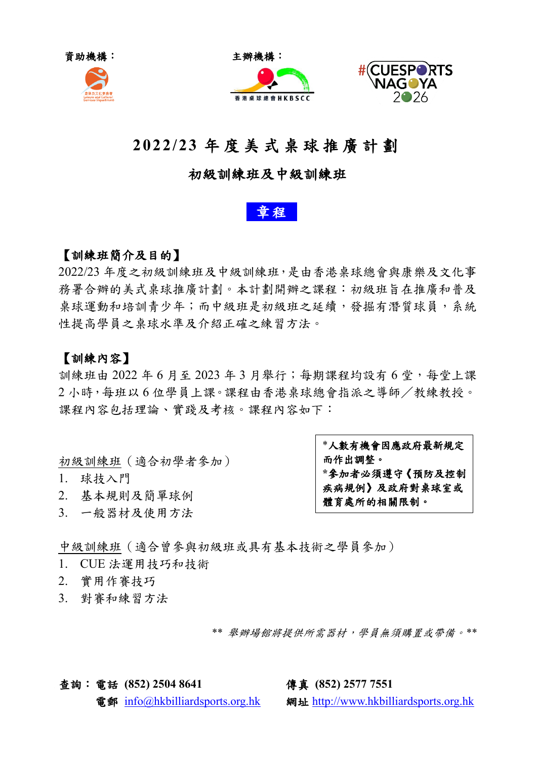





# **2022/23** 年 度 美 式 桌 球 推 廣 計 劃

# 初級訓練班及中級訓練班



## 【訓練班簡介及目的】

2022/23 年度之初級訓練班及中級訓練班,是由香港桌球總會與康樂及文化事 務署合辦的美式桌球推廣計劃。本計劃開辦之課程:初級班旨在推廣和普及 桌球運動和培訓青少年;而中級班是初級班之延續,發掘有潛質球員,系統 性提高學員之桌球水準及介紹正確之練習方法。

### 【訓練內容】

訓練班由 2022 年 6 月至 2023 年 3 月舉行;每期課程均設有 6 堂,每堂上課 2 小時,每班以 6 位學員上課。課程由香港桌球總會指派之導師/教練教授。 課程內容包括理論、實踐及考核。課程內容如下:

初級訓練班(適合初學者參加)

- 1. 球技入門
- 2. 基本規則及簡單球例
- 3. 一般器材及使用方法

\*人數有機會因應政府最新規定 而作出調整。 **\***參加者必頇遵守《預防及控制 疾病規例》及政府對桌球室或 體育處所的相關限制。

中級訓練班(適合曾參與初級班或具有基本技術之學員參加)

- 1. CUE 法運用技巧和技術
- 2. 實用作賽技巧
- 3. 對賽和練習方法

 *\*\** 舉辦場館將提供所需器材,學員無頇購置或帶備。*\*\**

查詢:電話 **(852) 2504 8641** 傳真 **(852) 2577 7551**

電郵 [info@hkbilliardsports.org.hk](mailto:info@hkbilliardsports.org.hk) 網址 [http://www.hkbilliardsports.org.hk](http://www.hkbilliardsports.org.hk/)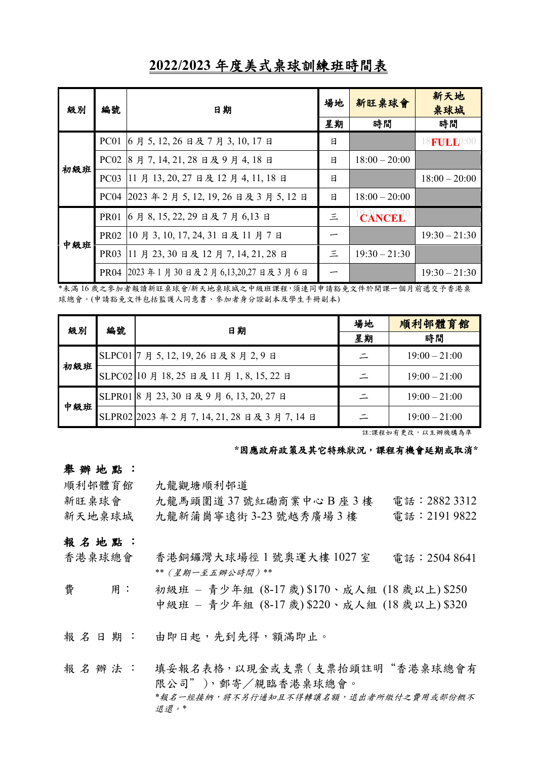| 級別  | 編號               | 日期                                  | 場地 | 新旺桌球會           | 新天地<br>桌球城          |
|-----|------------------|-------------------------------------|----|-----------------|---------------------|
|     |                  |                                     |    | 時間              | 時間                  |
| 初級班 | PC01             | 6月5,12,26日及7月3,10,17日               | 日  |                 | 18 <b>FULL</b> 0:00 |
|     | PC <sub>02</sub> | 8月7,14,21,28日及9月4,18日               | 日  | $18:00 - 20:00$ |                     |
|     | PC03             | 11 月 13, 20, 27 日及 12 月 4, 11, 18 日 | 日  |                 | $18:00 - 20:00$     |
|     | <b>PC04</b>      | 2023年2月5,12,19,26日及3月5,12日          | 日  | $18:00 - 20:00$ |                     |
| 中級班 | <b>PR01</b>      | 6月8,15,22,29日及7月6,13日               | 三  | <b>CANCEL</b>   |                     |
|     | <b>PR02</b>      | 10月3, 10, 17, 24, 31日及11月7日         |    |                 | $19:30 - 21:30$     |
|     | <b>PR03</b>      | 11月23,30日及12月7,14,21,28日            | 三  | $19:30 - 21:30$ |                     |
|     | <b>PR04</b>      | 2023年1月30日及2月6,13,20,27日及3月6日       |    |                 | $19:30 - 21:30$     |

**2022/2023** 年度美式桌球訓練班時間表

\*未滿16歲之參加者報讀新旺桌球會/新天地桌球城之中級班課程,須連同申請豁免文件於開課一個月前遞交予香港桌 球總會。(申請豁免文件包括監護人同意書、參加者身分證副本及學生手冊副本)

| 級別  | 編號 | 日期                                             | 場地 | 順利邨體育館          |
|-----|----|------------------------------------------------|----|-----------------|
|     |    |                                                | 星期 | 時間              |
| 初級班 |    | SLPC01 7 月 5, 12, 19, 26 日及 8 月 2, 9 日         |    | $19:00 - 21:00$ |
|     |    | SLPC02 10 月 18, 25 日及 11 月 1, 8, 15, 22 日      |    | $19:00 - 21:00$ |
| 中級班 |    | SLPR01 8 月 23, 30 日及 9 月 6, 13, 20, 27 日       |    | $19:00 - 21:00$ |
|     |    | SLPR02 2023 年 2 月 7, 14, 21, 28 日及 3 月 7, 14 日 |    | $19:00 - 21:00$ |

註:課程如有更改,以主辦機構為準

#### **\***因應政府政策及其它特殊狀況,課程有機會延期或取消**\***

#### 舉 辦 地 點 :

順利邨體育館 九龍觀塘順利邨道

| 新旺桌球會  | 九龍馬頭圍道37號紅磡商業中心B座3樓     | 電話:2882 3312 |
|--------|-------------------------|--------------|
| 新天地桌球城 | 九龍新蒲崗寧遠街 3-23 號越秀廣場 3 樓 | 電話:2191 9822 |

#### 報名地點:

- 香港桌球總會 香港銅鑼灣大球場徑 1 號奧運大樓 1027 室 電話:2504 8641 *\*\**(星期一至五辦公時間)*\*\**
- 費 用: 初級班 青少年組 (8-17 歲) \$170、成人組 (18 歲以上) \$250 中級班 – 青少年組 (8-17 歲) \$220、成人組 (18 歲以上) \$320

報名日期: 由即日起,先到先得,額滿即止。

報名辦法: 填妥報名表格,以現金或支票(支票抬頭註明"香港桌球總會有 限公司"),郵寄/親臨香港桌球總會。 \*報名一經接納,將不另行通知且不得轉讓名額,退出者所繳付之費用或部份概不 退還。*\**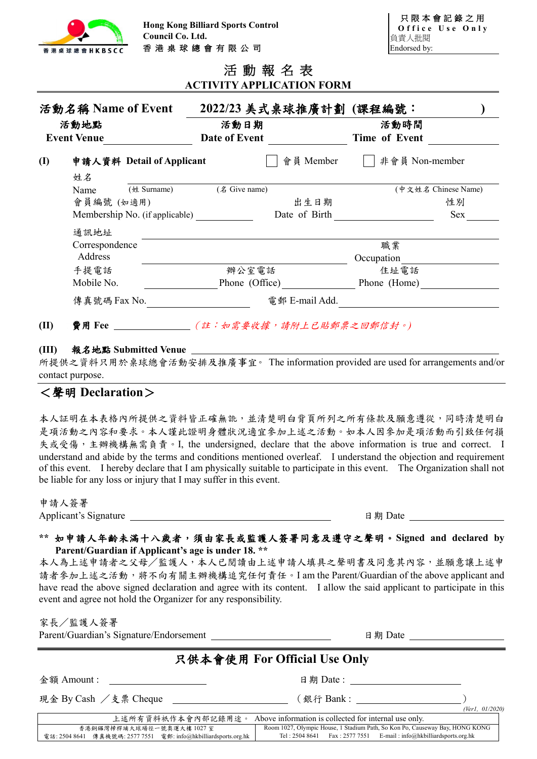

|                                  | 活動報名表 |  |  |
|----------------------------------|-------|--|--|
| <b>ACTIVITY APPLICATION FORM</b> |       |  |  |

|              | 活動名稱 Name of Event<br>活動地點<br><b>Event Venue</b> |                           | 活動日期<br>Date of Event | 2022/23 美式桌球推廣計劃 (課程編號: | 活動時間<br>Time of Event |                     |
|--------------|--------------------------------------------------|---------------------------|-----------------------|-------------------------|-----------------------|---------------------|
| $\mathbf{I}$ | 姓名                                               | 申請人資料 Detail of Applicant |                       | 會員 Member               | 非會員 Non-member        |                     |
|              | Name                                             | (姓 Surname)               | (名 Give name)         |                         |                       | (中文姓名 Chinese Name) |
|              | 會員編號 (如適用)                                       |                           |                       | 出生日期                    |                       | 性別                  |
|              | Membership No. (if applicable)                   |                           | Date of Birth         |                         |                       | Sex                 |
|              | 通訊地址                                             |                           |                       |                         |                       |                     |
|              | Correspondence                                   |                           |                       |                         | 職業                    |                     |
|              | Address                                          |                           |                       |                         | Occupation            |                     |
|              | 手提電話                                             |                           | 辦公室電話                 |                         | 住址電話                  |                     |
|              | Mobile No.                                       |                           | Phone (Office)        |                         | Phone (Home)          |                     |
|              | 傳真號碼 Fax No.                                     |                           |                       | 電郵 E-mail Add.          |                       |                     |
| (II)         | 費用 Fee                                           |                           |                       | (註:如需要收據,請附上已貼郵票之回郵信封。) |                       |                     |

#### **(III)** 報名地點 **Submitted Venue**

所提供之資料只用於桌球總會活動安排及推廣事宜。 The information provided are used for arrangements and/or contact purpose.

### <聲明 **Declaration**>

本人証明在本表格內所提供之資料皆正確無訛,並清楚明白背頁所列之所有條款及願意遵從,同時清楚明白 是項活動之內容和要求。本人謹此證明身體狀況適宜參加上述之活動。如本人因參加是項活動而引致任何損 失或受傷,主辦機構無需負責。I, the undersigned, declare that the above information is true and correct. I understand and abide by the terms and conditions mentioned overleaf. I understand the objection and requirement of this event. I hereby declare that I am physically suitable to participate in this event. The Organization shall not be liable for any loss or injury that I may suffer in this event.

申請人簽署

Applicant's Signature 日期 Date

#### \*\* 如申請人年齡未滿十八歲者,須由家長或監護人簽署同意及遵守之聲明。Signed and declared by **Parent/Guardian if Applicant's age is under 18. \*\***

本人為上述申請者之父母/監護人,本人已閱讀由上述申請人填具之聲明書及同意其內容,並願意讓上述申 請者參加上述之活動,將不向有關主辦機構追究任何責任。I am the Parent/Guardian of the above applicant and have read the above signed declaration and agree with its content. I allow the said applicant to participate in this event and agree not hold the Organizer for any responsibility.

家長/監護人簽署

Parent/Guardian's Signature/Endorsement 日期 Date

# 只供本會使用 **For Official Use Only**

**金額 Amount : https://default.com/default.com/default.com/default.com/default.com/** 

現金 By Cash /支票 Cheque (銀行 Bank : )

*(Ver1, 01/2020)* 上述所有資料祇作本會內部記錄用途。 Above information is collected for internal use only. 香港銅鑼灣掃桿埔大球場徑一號奧運大樓 1027 室 電話: 2504 8641 傳真機號碼: 2577 7551 電郵: info@hkbilliardsports.org.hk Room 1027, Olympic House, 1 Stadium Path, So Kon Po, Causeway Bay, HONG KONG Tel : 2504 8641 Fax : 2577 7551 E-mail : info@hkbilliardsports.org.hk